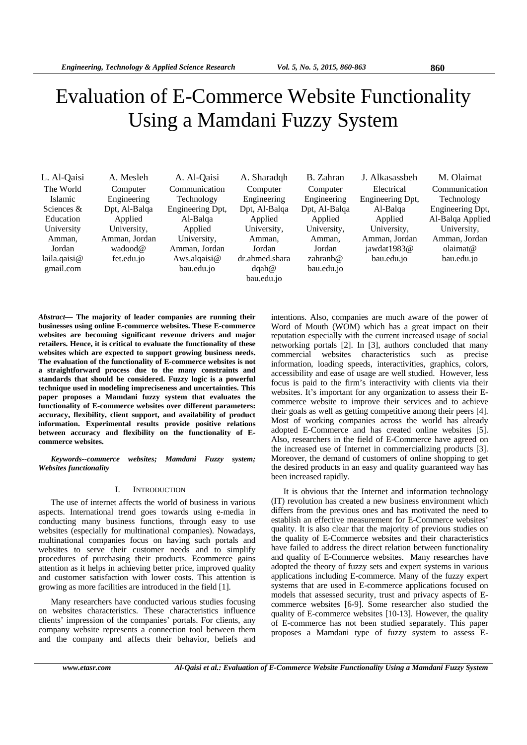# Evaluation of E-Commerce Website Functionality Using a Mamdani Fuzzy System

| L. Al-Qaisi    | A. Mesleh     | A. Al-Qaisi      | A. Sharadgh    | B. Zahran     | J. Alkasassbeh   | M. Olaimat       |
|----------------|---------------|------------------|----------------|---------------|------------------|------------------|
| The World      | Computer      | Communication    | Computer       | Computer      | Electrical       | Communication    |
| <b>Islamic</b> | Engineering   | Technology       | Engineering    | Engineering   | Engineering Dpt, | Technology       |
| Sciences $&$   | Dpt, Al-Balga | Engineering Dpt, | Dpt, Al-Balga  | Dpt, Al-Balga | Al-Balga         | Engineering Dpt, |
| Education      | Applied       | Al-Balga         | Applied        | Applied       | Applied          | Al-Balqa Applied |
| University     | University,   | Applied          | University,    | University,   | University,      | University,      |
| Amman.         | Amman, Jordan | University,      | Amman.         | Amman.        | Amman, Jordan    | Amman, Jordan    |
| Jordan         | wadood@       | Amman, Jordan    | Jordan         | Jordan        | jawdat1983 $@$   | olaimat@         |
| laila.qaisi@   | fet.edu.jo    | Aws.algaisi $@$  | dr.ahmed.shara | zahranb $@$   | bau.edu.jo       | bau.edu.jo       |
| gmail.com      |               | bau.edu.jo       | dqah@          | bau.edu.jo    |                  |                  |
|                |               |                  | bau.edu.jo     |               |                  |                  |

*Abstract***— The majority of leader companies are running their businesses using online E-commerce websites. These E-commerce websites are becoming significant revenue drivers and major retailers. Hence, it is critical to evaluate the functionality of these websites which are expected to support growing business needs. The evaluation of the functionality of E-commerce websites is not a straightforward process due to the many constraints and standards that should be considered. Fuzzy logic is a powerful technique used in modeling impreciseness and uncertainties. This paper proposes a Mamdani fuzzy system that evaluates the functionality of E-commerce websites over different parameters: accuracy, flexibility, client support, and availability of product information. Experimental results provide positive relations between accuracy and flexibility on the functionality of Ecommerce websites.** 

*Keywords--commerce websites; Mamdani Fuzzy system; Websites functionality* 

# I. INTRODUCTION

The use of internet affects the world of business in various aspects. International trend goes towards using e-media in conducting many business functions, through easy to use websites (especially for multinational companies). Nowadays, multinational companies focus on having such portals and websites to serve their customer needs and to simplify procedures of purchasing their products. Ecommerce gains attention as it helps in achieving better price, improved quality and customer satisfaction with lower costs. This attention is growing as more facilities are introduced in the field [1].

Many researchers have conducted various studies focusing on websites characteristics. These characteristics influence clients' impression of the companies' portals. For clients, any company website represents a connection tool between them and the company and affects their behavior, beliefs and

intentions. Also, companies are much aware of the power of Word of Mouth (WOM) which has a great impact on their reputation especially with the current increased usage of social networking portals [2]. In [3], authors concluded that many commercial websites characteristics such as precise information, loading speeds, interactivities, graphics, colors, accessibility and ease of usage are well studied. However, less focus is paid to the firm's interactivity with clients via their websites. It's important for any organization to assess their Ecommerce website to improve their services and to achieve their goals as well as getting competitive among their peers [4]. Most of working companies across the world has already adopted E-Commerce and has created online websites [5]. Also, researchers in the field of E-Commerce have agreed on the increased use of Internet in commercializing products [3]. Moreover, the demand of customers of online shopping to get the desired products in an easy and quality guaranteed way has been increased rapidly.

It is obvious that the Internet and information technology (IT) revolution has created a new business environment which differs from the previous ones and has motivated the need to establish an effective measurement for E-Commerce websites' quality. It is also clear that the majority of previous studies on the quality of E-Commerce websites and their characteristics have failed to address the direct relation between functionality and quality of E-Commerce websites. Many researches have adopted the theory of fuzzy sets and expert systems in various applications including E-commerce. Many of the fuzzy expert systems that are used in E-commerce applications focused on models that assessed security, trust and privacy aspects of Ecommerce websites [6-9]. Some researcher also studied the quality of E-commerce websites [10-13]. However, the quality of E-commerce has not been studied separately. This paper proposes a Mamdani type of fuzzy system to assess E-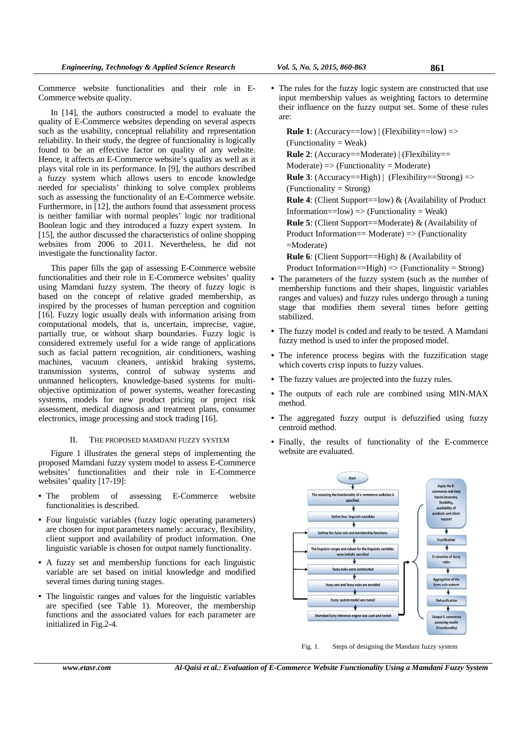Commerce website functionalities and their role in E-Commerce website quality.

In [14], the authors constructed a model to evaluate the quality of E-Commerce websites depending on several aspects such as the usability, conceptual reliability and representation reliability. In their study, the degree of functionality is logically found to be an effective factor on quality of any website. Hence, it affects an E-Commerce website's quality as well as it plays vital role in its performance. In [9], the authors described a fuzzy system which allows users to encode knowledge needed for specialists' thinking to solve complex problems such as assessing the functionality of an E-Commerce website. Furthermore, in [12], the authors found that assessment process is neither familiar with normal peoples' logic nor traditional Boolean logic and they introduced a fuzzy expert system. In [15], the author discussed the characteristics of online shopping websites from 2006 to 2011. Nevertheless, he did not investigate the functionality factor.

This paper fills the gap of assessing E-Commerce website functionalities and their role in E-Commerce websites' quality using Mamdani fuzzy system. The theory of fuzzy logic is based on the concept of relative graded membership, as inspired by the processes of human perception and cognition [16]. Fuzzy logic usually deals with information arising from computational models, that is, uncertain, imprecise, vague, partially true, or without sharp boundaries. Fuzzy logic is considered extremely useful for a wide range of applications such as facial pattern recognition, air conditioners, washing machines, vacuum cleaners, antiskid braking systems, transmission systems, control of subway systems and unmanned helicopters, knowledge-based systems for multiobjective optimization of power systems, weather forecasting systems, models for new product pricing or project risk assessment, medical diagnosis and treatment plans, consumer electronics, image processing and stock trading [16].

# II. THE PROPOSED MAMDANI FUZZY SYSTEM

Figure 1 illustrates the general steps of implementing the proposed Mamdani fuzzy system model to assess E-Commerce websites' functionalities and their role in E-Commerce websites' quality [17-19]:

- The problem of assessing E-Commerce website functionalities is described.
- Four linguistic variables (fuzzy logic operating parameters) are chosen for input parameters namely: accuracy, flexibility, client support and availability of product information. One linguistic variable is chosen for output namely functionality.
- A fuzzy set and membership functions for each linguistic variable are set based on initial knowledge and modified several times during tuning stages.
- The linguistic ranges and values for the linguistic variables are specified (see Table 1). Moreover, the membership functions and the associated values for each parameter are initialized in Fig.2-4.

• The rules for the fuzzy logic system are constructed that use input membership values as weighting factors to determine their influence on the fuzzy output set. Some of these rules are:

**Rule 1**: (Accuracy==low)  $|$  (Flexibility==low) => (Functionality = Weak) **Rule 2**: (Accuracy==Moderate) | (Flexibility==  $Modernate)$  => (Functionality = Moderate) **Rule 3**: (Accuracy==High) | (Flexibility==Strong) => (Functionality = Strong) **Rule 4**: (Client Support==low) & (Availability of Product Information==low) => (Functionality = Weak) **Rule 5**: (Client Support==Moderate) & (Availability of Product Information== Moderate) => (Functionality =Moderate) **Rule 6**: (Client Support==High) & (Availability of

Product Information==High)  $\Rightarrow$  (Functionality = Strong)

- The parameters of the fuzzy system (such as the number of membership functions and their shapes, linguistic variables ranges and values) and fuzzy rules undergo through a tuning stage that modifies them several times before getting stabilized.
- The fuzzy model is coded and ready to be tested. A Mamdani fuzzy method is used to infer the proposed model.
- The inference process begins with the fuzzification stage which coverts crisp inputs to fuzzy values.
- The fuzzy values are projected into the fuzzy rules.
- The outputs of each rule are combined using MIN-MAX method.
- The aggregated fuzzy output is defuzzified using fuzzy centroid method.
- Finally, the results of functionality of the E-commerce website are evaluated.



Fig. 1. Steps of designing the Mandani fuzzy system

*www.etasr.com Al-Qaisi et al.: Evaluation of E-Commerce Website Functionality Using a Mamdani Fuzzy System*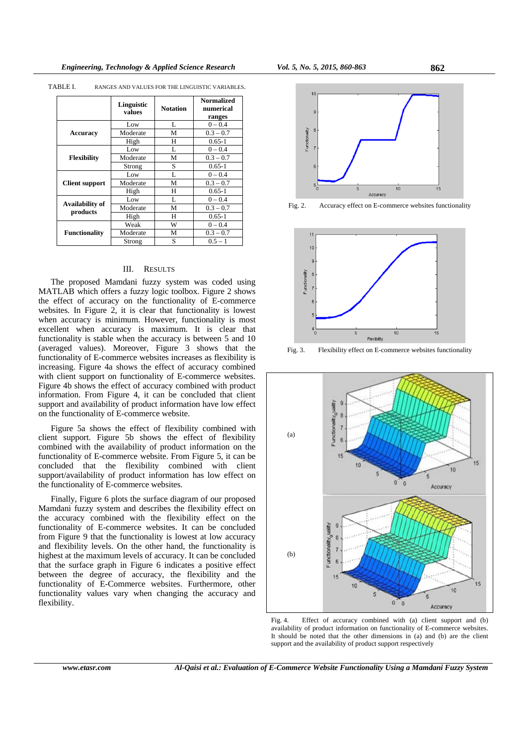|                             | Linguistic<br>values | <b>Notation</b> | <b>Normalized</b><br>numerical<br>ranges |
|-----------------------------|----------------------|-----------------|------------------------------------------|
|                             | Low                  | L               | $0 - 0.4$                                |
| Accuracy                    | Moderate             | М               | $0.3 - 0.7$                              |
|                             | High                 | Н               | $0.65 - 1$                               |
|                             | Low                  | L               | $0 - 0.4$                                |
| Flexibility                 | Moderate             | М               | $0.3 - 0.7$                              |
|                             | Strong               | S               | $0.65 - 1$                               |
|                             | Low                  | L               | $0 - 0.4$                                |
| <b>Client support</b>       | Moderate             | M               | $0.3 - 0.7$                              |
|                             | High                 | H               | $0.65 - 1$                               |
|                             | Low                  | L               | $0 - 0.4$                                |
| Availability of<br>products | Moderate             | М               | $0.3 - 0.7$                              |
|                             | High                 | H               | $0.65 - 1$                               |
|                             | Weak                 | W               | $0 - 0.4$                                |
| <b>Functionality</b>        | Moderate             | М               | $0.3 - 0.7$                              |
|                             | Strong               | S               | $0.5 - 1$                                |

TABLE I. RANGES AND VALUES FOR THE LINGUISTIC VARIABLES.

# III. RESULTS

The proposed Mamdani fuzzy system was coded using MATLAB which offers a fuzzy logic toolbox. Figure 2 shows the effect of accuracy on the functionality of E-commerce websites. In Figure 2, it is clear that functionality is lowest when accuracy is minimum. However, functionality is most excellent when accuracy is maximum. It is clear that functionality is stable when the accuracy is between 5 and 10 (averaged values). Moreover, Figure 3 shows that the functionality of E-commerce websites increases as flexibility is increasing. Figure 4a shows the effect of accuracy combined with client support on functionality of E-commerce websites. Figure 4b shows the effect of accuracy combined with product information. From Figure 4, it can be concluded that client support and availability of product information have low effect on the functionality of E-commerce website.

Figure 5a shows the effect of flexibility combined with client support. Figure 5b shows the effect of flexibility combined with the availability of product information on the functionality of E-commerce website. From Figure 5, it can be concluded that the flexibility combined with client support/availability of product information has low effect on the functionality of E-commerce websites.

Finally, Figure 6 plots the surface diagram of our proposed Mamdani fuzzy system and describes the flexibility effect on the accuracy combined with the flexibility effect on the functionality of E-commerce websites. It can be concluded from Figure 9 that the functionality is lowest at low accuracy and flexibility levels. On the other hand, the functionality is highest at the maximum levels of accuracy. It can be concluded that the surface graph in Figure 6 indicates a positive effect between the degree of accuracy, the flexibility and the functionality of E-Commerce websites. Furthermore, other functionality values vary when changing the accuracy and flexibility.



Fig. 2. Accuracy effect on E-commerce websites functionality



Fig. 3. Flexibility effect on E-commerce websites functionality



Fig. 4. Effect of accuracy combined with (a) client support and (b) availability of product information on functionality of E-commerce websites. It should be noted that the other dimensions in (a) and (b) are the client support and the availability of product support respectively